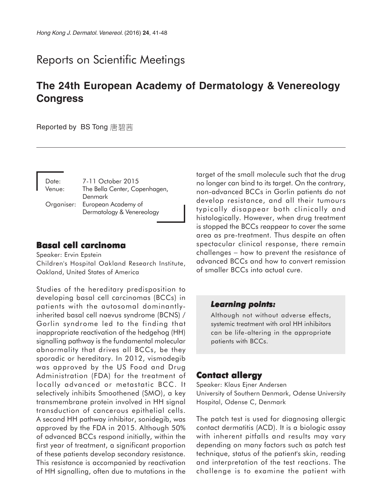# Reports on Scientific Meetings

# **The 24th European Academy of Dermatology & Venereology Congress**

**Reported by BS Tong** 唐碧茜

| Date:<br>Venue: | 7-11 October 2015<br>The Bella Center, Copenhagen, |
|-----------------|----------------------------------------------------|
|                 | Denmark                                            |
|                 | Organiser: European Academy of                     |
|                 | Dermatology & Venereology                          |

### **Basal cell carcinoma**

Speaker: Ervin Epstein Children's Hospital Oakland Research Institute, Oakland, United States of America

Studies of the hereditary predisposition to developing basal cell carcinomas (BCCs) in patients with the autosomal dominantlyinherited basal cell naevus syndrome (BCNS) / Gorlin syndrome led to the finding that inappropriate reactivation of the hedgehog (HH) signalling pathway is the fundamental molecular abnormality that drives all BCCs, be they sporadic or hereditary. In 2012, vismodegib was approved by the US Food and Drug Administration (FDA) for the treatment of locally advanced or metastatic BCC. It selectively inhibits Smoothened (SMO), a key transmembrane protein involved in HH signal transduction of cancerous epithelial cells. A second HH pathway inhibitor, sonidegib, was approved by the FDA in 2015. Although 50% of advanced BCCs respond initially, within the first year of treatment, a significant proportion of these patients develop secondary resistance. This resistance is accompanied by reactivation of HH signalling, often due to mutations in the

target of the small molecule such that the drug no longer can bind to its target. On the contrary, non-advanced BCCs in Gorlin patients do not develop resistance, and all their tumours typically disappear both clinically and histologically. However, when drug treatment is stopped the BCCs reappear to cover the same area as pre-treatment. Thus despite an often spectacular clinical response, there remain challenges − how to prevent the resistance of advanced BCCs and how to convert remission of smaller BCCs into actual cure.

#### *Learning points: Learning*

Although not without adverse effects, systemic treatment with oral HH inhibitors can be life-altering in the appropriate patients with BCCs.

### **Contact allergy**

Speaker: Klaus Ejner Andersen University of Southern Denmark, Odense University Hospital, Odense C, Denmark

The patch test is used for diagnosing allergic contact dermatitis (ACD). It is a biologic assay with inherent pitfalls and results may vary depending on many factors such as patch test technique, status of the patient's skin, reading and interpretation of the test reactions. The challenge is to examine the patient with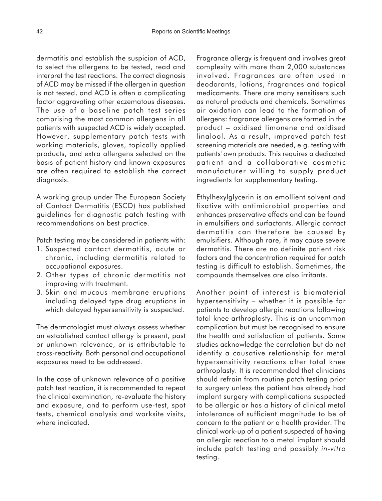dermatitis and establish the suspicion of ACD, to select the allergens to be tested, read and interpret the test reactions. The correct diagnosis of ACD may be missed if the allergen in question is not tested, and ACD is often a complicating factor aggravating other eczematous diseases. The use of a baseline patch test series comprising the most common allergens in all patients with suspected ACD is widely accepted. However, supplementary patch tests with working materials, gloves, topically applied products, and extra allergens selected on the basis of patient history and known exposures are often required to establish the correct diagnosis.

A working group under The European Society of Contact Dermatitis (ESCD) has published guidelines for diagnostic patch testing with recommendations on best practice.

Patch testing may be considered in patients with:

- 1. Suspected contact dermatitis, acute or chronic, including dermatitis related to occupational exposures.
- 2. Other types of chronic dermatitis not improving with treatment.
- 3. Skin and mucous membrane eruptions including delayed type drug eruptions in which delayed hypersensitivity is suspected.

The dermatologist must always assess whether an established contact allergy is present, past or unknown relevance, or is attributable to cross-reactivity. Both personal and occupational exposures need to be addressed.

In the case of unknown relevance of a positive patch test reaction, it is recommended to repeat the clinical examination, re-evaluate the history and exposure, and to perform use-test, spot tests, chemical analysis and worksite visits, where indicated.

Fragrance allergy is frequent and involves great complexity with more than 2,000 substances involved. Fragrances are often used in deodorants, lotions, fragrances and topical medicaments. There are many sensitisers such as natural products and chemicals. Sometimes air oxidation can lead to the formation of allergens: fragrance allergens are formed in the product – oxidised limonene and oxidised linalool. As a result, improved patch test screening materials are needed, e.g. testing with patients' own products. This requires a dedicated patient and a collaborative cosmetic manufacturer willing to supply product ingredients for supplementary testing.

Ethylhexylglycerin is an emollient solvent and fixative with antimicrobial properties and enhances preservative effects and can be found in emulsifiers and surfactants. Allergic contact dermatitis can therefore be caused by emulsifiers. Although rare, it may cause severe dermatitis. There are no definite patient risk factors and the concentration required for patch testing is difficult to establish. Sometimes, the compounds themselves are also irritants.

Another point of interest is biomaterial hypersensitivity – whether it is possible for patients to develop allergic reactions following total knee arthroplasty. This is an uncommon complication but must be recognised to ensure the health and satisfaction of patients. Some studies acknowledge the correlation but do not identify a causative relationship for metal hypersensitivity reactions after total knee arthroplasty. It is recommended that clinicians should refrain from routine patch testing prior to surgery unless the patient has already had implant surgery with complications suspected to be allergic or has a history of clinical metal intolerance of sufficient magnitude to be of concern to the patient or a health provider. The clinical work-up of a patient suspected of having an allergic reaction to a metal implant should include patch testing and possibly *in-vitro* testing.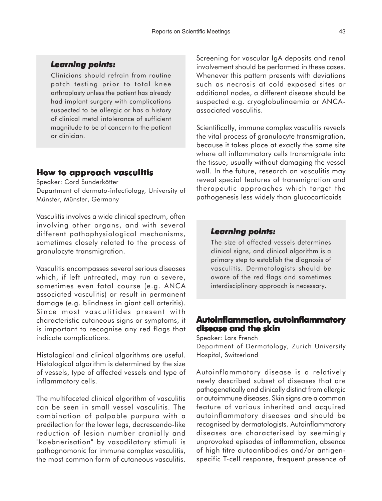#### *Learning points: Learning*

Clinicians should refrain from routine patch testing prior to total knee arthroplasty unless the patient has already had implant surgery with complications suspected to be allergic or has a history of clinical metal intolerance of sufficient magnitude to be of concern to the patient or clinician.

#### **How to approach vasculitis**

Speaker: Cord Sunderkötter

Department of dermato-infectiology, University of Münster, Münster, Germany

Vasculitis involves a wide clinical spectrum, often involving other organs, and with several different pathophysiological mechanisms, sometimes closely related to the process of granulocyte transmigration.

Vasculitis encompasses several serious diseases which, if left untreated, may run a severe, sometimes even fatal course (e.g. ANCA associated vasculitis) or result in permanent damage (e.g. blindness in giant cell arteritis). Since most vasculitides present with characteristic cutaneous signs or symptoms, it is important to recognise any red flags that indicate complications.

Histological and clinical algorithms are useful. Histological algorithm is determined by the size of vessels, type of affected vessels and type of inflammatory cells.

The multifaceted clinical algorithm of vasculitis can be seen in small vessel vasculitis. The combination of palpable purpura with a predilection for the lower legs, decrescendo-like reduction of lesion number cranially and "koebnerisation" by vasodilatory stimuli is pathognomonic for immune complex vasculitis, the most common form of cutaneous vasculitis.

Screening for vascular IgA deposits and renal involvement should be performed in these cases. Whenever this pattern presents with deviations such as necrosis at cold exposed sites or additional nodes, a different disease should be suspected e.g. cryoglobulinaemia or ANCAassociated vasculitis.

Scientifically, immune complex vasculitis reveals the vital process of granulocyte transmigration, because it takes place at exactly the same site where all inflammatory cells transmigrate into the tissue, usually without damaging the vessel wall. In the future, research on vasculitis may reveal special features of transmigration and therapeutic approaches which target the pathogenesis less widely than glucocorticoids

#### *Learning points: Learning*

The size of affected vessels determines clinical signs, and clinical algorithm is a primary step to establish the diagnosis of vasculitis. Dermatologists should be aware of the red flags and sometimes interdisciplinary approach is necessary.

## **Autoinflammation, autoinflammatory disease and the skin**

Speaker: Lars French Department of Dermatology, Zurich University Hospital, Switzerland

Autoinflammatory disease is a relatively newly described subset of diseases that are pathogenetically and clinically distinct from allergic or autoimmune diseases. Skin signs are a common feature of various inherited and acquired autoinflammatory diseases and should be recognised by dermatologists. Autoinflammatory diseases are characterised by seemingly unprovoked episodes of inflammation, absence of high titre autoantibodies and/or antigenspecific T-cell response, frequent presence of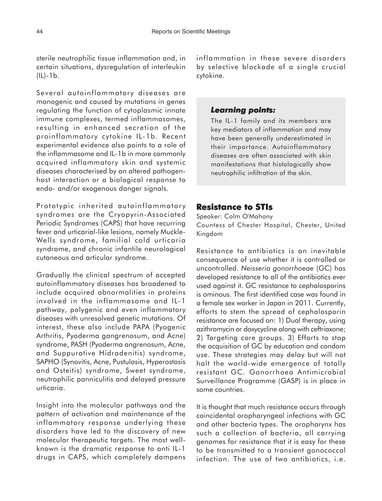sterile neutrophilic tissue inflammation and, in certain situations, dysregulation of interleukin (IL)-1b.

Several autoinflammatory diseases are monogenic and caused by mutations in genes regulating the function of cytoplasmic innate immune complexes, termed inflammasomes, resulting in enhanced secretion of the proinflammatory cytokine IL-1b. Recent experimental evidence also points to a role of the inflammasome and IL-1b in more commonly acquired inflammatory skin and systemic diseases characterised by an altered pathogenhost interaction or a biological response to endo- and/or exogenous danger signals.

Prototypic inherited autoinflammatory syndromes are the Cryopyrin-Associated Periodic Syndromes (CAPS) that have recurring fever and urticarial-like lesions, namely Muckle-Wells syndrome, familial cold urticaria syndrome, and chronic infantile neurological cutaneous and articular syndrome.

Gradually the clinical spectrum of accepted autoinflammatory diseases has broadened to include acquired abnormalities in proteins involved in the inflammasome and IL-1 pathway, polygenic and even inflammatory diseases with unresolved genetic mutations. Of interest, these also include PAPA (Pyogenic Arthritis, Pyoderma gangrenosum, and Acne) syndrome, PASH (Pyoderma angrenosum, Acne, and Suppurative Hidradenitis) syndrome, SAPHO (Synovitis, Acne, Pustulosis, Hyperostosis and Osteitis) syndrome, Sweet syndrome, neutrophilic panniculitis and delayed pressure urticaria.

Insight into the molecular pathways and the pattern of activation and maintenance of the inflammatory response underlying these disorders have led to the discovery of new molecular therapeutic targets. The most wellknown is the dramatic response to anti IL-1 drugs in CAPS, which completely dampens inflammation in these severe disorders by selective blockade of a single crucial cytokine.

### *Learning points: Learning*

The IL-1 family and its members are key mediators of inflammation and may have been generally underestimated in their importance. Autoinflammatory diseases are often associated with skin manifestations that histologically show neutrophilic infiltration of the skin.

# **Resistance to STIs**

Speaker: Colm O'Mahony Countess of Chester Hospital, Chester, United Kingdom

Resistance to antibiotics is an inevitable consequence of use whether it is controlled or uncontrolled. *Neisseria gonorrhoeae* (GC) has developed resistance to all of the antibiotics ever used against it. GC resistance to cephalosporins is ominous. The first identified case was found in a female sex worker in Japan in 2011. Currently, efforts to stem the spread of cephalosporin resistance are focused on: 1) Dual therapy, using azithromycin or doxycycline along with ceftriaxone; 2) Targeting core groups. 3) Efforts to stop the acquisition of GC by education and condom use. These strategies may delay but will not halt the world-wide emergence of totally resistant GC. Gonorrhoea Antimicrobial Surveillance Programme (GASP) is in place in some countries.

It is thought that much resistance occurs through coincidental oropharyngeal infections with GC and other bacteria types. The oropharynx has such a collection of bacteria, all carrying genomes for resistance that it is easy for these to be transmitted to a transient gonococcal infection. The use of two antibiotics, i.e.